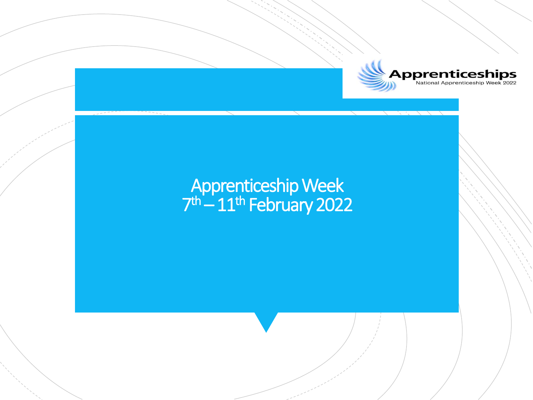

## Apprenticeship Week 7 th – 11th February 2022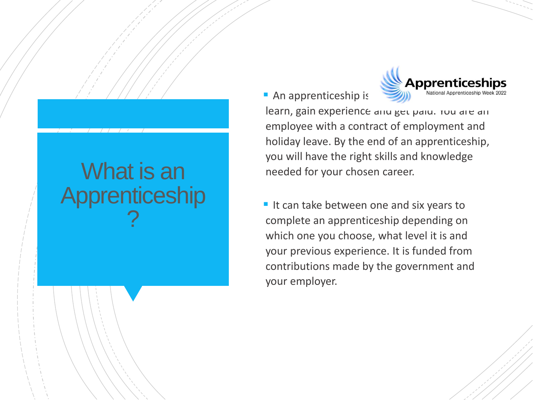## What is an Apprenticeship ?



learn, gain experience and get paid. You are an employee with a contract of employment and holiday leave. By the end of an apprenticeship, you will have the right skills and knowledge needed for your chosen career.

 $\blacksquare$  It can take between one and six years to complete an apprenticeship depending on which one you choose, what level it is and your previous experience. It is funded from contributions made by the government and your employer.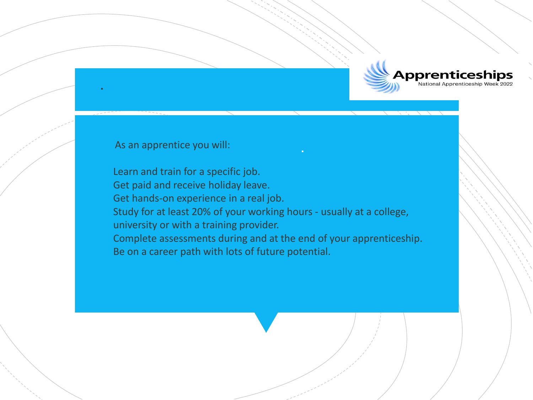

As an apprentice you will:

•

Learn and train for a specific job. Get paid and receive holiday leave. Get hands-on experience in a real job. Study for at least 20% of your working hours - usually at a college, university or with a training provider. Complete assessments during and at the end of your apprenticeship. Be on a career path with lots of future potential.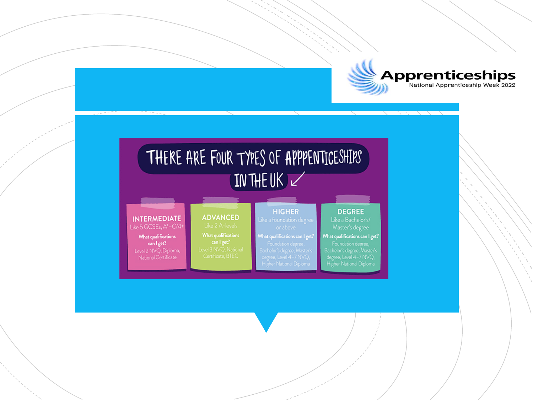

## THERE ARE FOUR TYPES OF APPPENTICESHIRS INTHEUK

#### **INTERMEDIATE** Like 5 GCSEs, A\*-C/4+

#### What qualifications can I get? National Certificate

# can I get?

**ADVANCED** 

### **HIGHER**

# What qualifications can I get?

# **DEGREE**

## What qualifications can I get?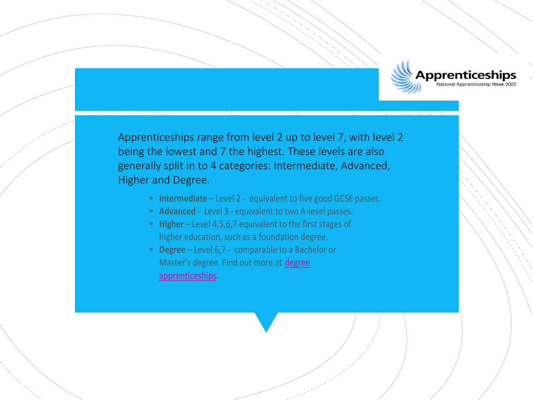

Apprenticeships range from level 2 up to level 7, with level 2 being the lowest and 7 the highest. These levels are also generally split in to 4 categories: Intermediate, Advanced, Higher and Degree.

- **Intermediate** Level 2 equivalent to five good GCSE passes.
- **Advanced** Level 3 equivalent to two A-level passes.
- **Higher** Level 4,5,6,7 equivalent to the first stages of higher education, such as <sup>a</sup> foundation degree.
- **Degree** Level 6,7 comparable to <sup>a</sup> Bachelor or Master's degree. Find out more at **degree** apprenticeships.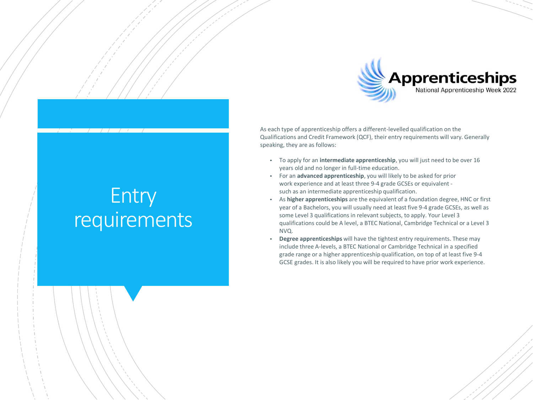

Entry requirements As each type of apprenticeship offers <sup>a</sup> different-levelled qualification on the Qualifications and Credit Framework (QCF), their entry requirements will vary. Generally speaking, they are as follows:

- To apply for an **intermediate apprenticeship**, you will just need to be over 16 years old and no longer in full-time education.
- For an **advanced apprenticeship**, you will likely to be asked for prior work experience and at least three 9-4 grade GCSEs or equivalent such as an intermediate apprenticeship qualification.
- As **higher apprenticeships** are the equivalent of <sup>a</sup> foundation degree, HNC or first year of <sup>a</sup> Bachelors, you will usually need at least five 9-4 grade GCSEs, as well as some Level 3 qualifications in relevant subjects, to apply. Your Level 3 qualifications could be A level, <sup>a</sup> BTEC National, Cambridge Technical or <sup>a</sup> Level 3 NVQ.
- • **Degree apprenticeships** will have the tightest entry requirements. These may include three A-levels, <sup>a</sup> BTEC National or Cambridge Technical in <sup>a</sup> specified grade range or <sup>a</sup> higher apprenticeship qualification, on top of at least five 9-4 GCSE grades. It is also likely you will be required to have prior work experience.